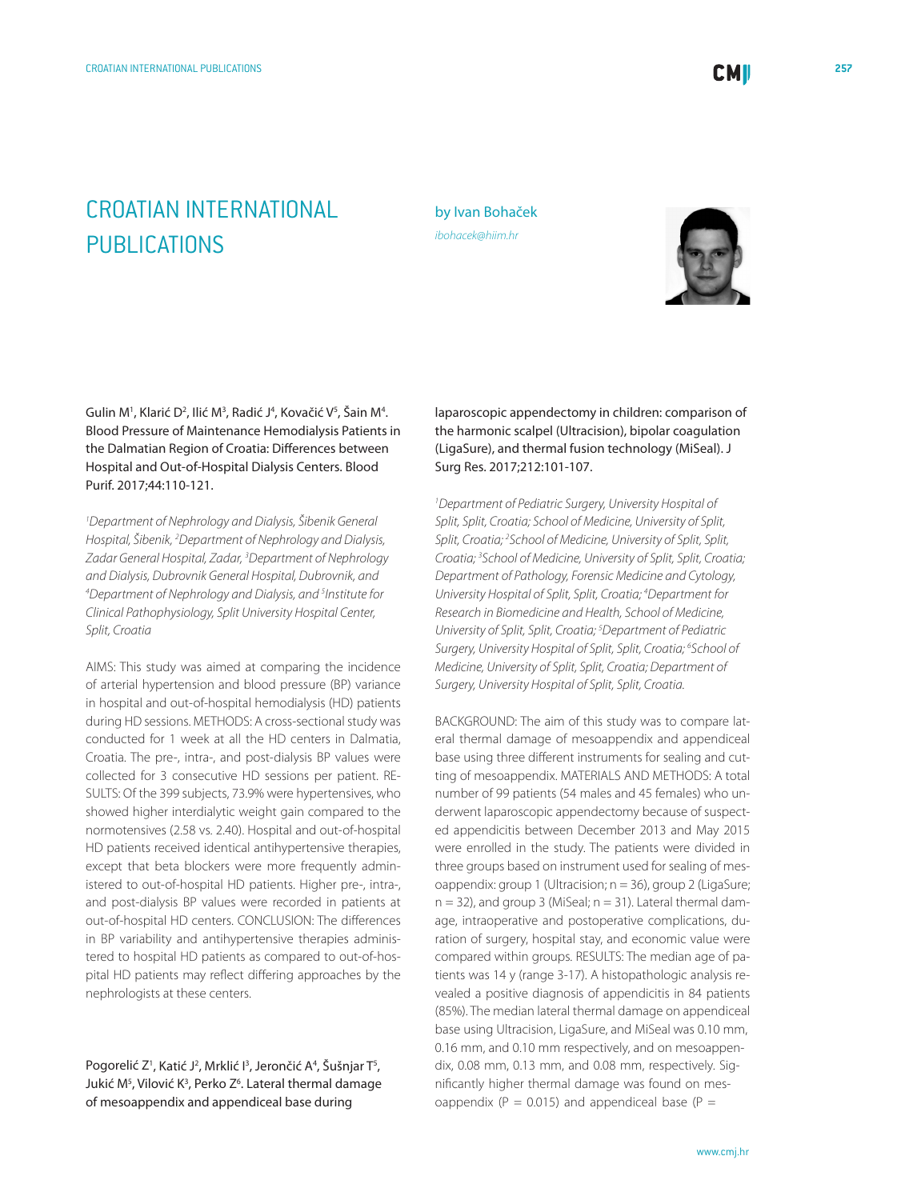## CROATIAN INTERNATIONAL PUBLICATIONS

by Ivan Bohaček *[ibohacek@hiim.hr](mailto: ibohacek@hiim.hr)*



Gulin M<sup>1</sup>, Klarić D<sup>2</sup>, Ilić M<sup>3</sup>, Radić J<sup>4</sup>, Kovačić V<sup>5</sup>, Šain M<sup>4</sup>. Blood Pressure of Maintenance Hemodialysis Patients in the Dalmatian Region of Croatia: Differences between Hospital and Out-of-Hospital Dialysis Centers. Blood Purif. 2017;44:110-121.

*1 Department of Nephrology and Dialysis, Šibenik General Hospital, Šibenik, 2 Department of Nephrology and Dialysis, Zadar General Hospital, Zadar, 3 Department of Nephrology and Dialysis, Dubrovnik General Hospital, Dubrovnik, and 4 Department of Nephrology and Dialysis, and 5 Institute for Clinical Pathophysiology, Split University Hospital Center, Split, Croatia*

AIMS: This study was aimed at comparing the incidence of arterial hypertension and blood pressure (BP) variance in hospital and out-of-hospital hemodialysis (HD) patients during HD sessions. METHODS: A cross-sectional study was conducted for 1 week at all the HD centers in Dalmatia, Croatia. The pre-, intra-, and post-dialysis BP values were collected for 3 consecutive HD sessions per patient. RE-SULTS: Of the 399 subjects, 73.9% were hypertensives, who showed higher interdialytic weight gain compared to the normotensives (2.58 vs. 2.40). Hospital and out-of-hospital HD patients received identical antihypertensive therapies, except that beta blockers were more frequently administered to out-of-hospital HD patients. Higher pre-, intra-, and post-dialysis BP values were recorded in patients at out-of-hospital HD centers. CONCLUSION: The differences in BP variability and antihypertensive therapies administered to hospital HD patients as compared to out-of-hospital HD patients may reflect differing approaches by the nephrologists at these centers.

Pogorelić Z', Katić J<del>'</del>, Mrklić I<del>'</del>, Jerončić A<del>'</del>, Šušnjar T<sup>s</sup>, Jukić M<sup>5</sup>, Vilović K<sup>3</sup>, Perko Z<sup>6</sup>. Lateral thermal damage of mesoappendix and appendiceal base during

laparoscopic appendectomy in children: comparison of the harmonic scalpel (Ultracision), bipolar coagulation (LigaSure), and thermal fusion technology (MiSeal). J Surg Res. 2017;212:101-107.

*1 Department of Pediatric Surgery, University Hospital of Split, Split, Croatia; School of Medicine, University of Split, Split, Croatia; 2 School of Medicine, University of Split, Split, Croatia; 3 School of Medicine, University of Split, Split, Croatia; Department of Pathology, Forensic Medicine and Cytology, University Hospital of Split, Split, Croatia; 4 Department for Research in Biomedicine and Health, School of Medicine, University of Split, Split, Croatia; 5 Department of Pediatric Surgery, University Hospital of Split, Split, Croatia; 6 School of Medicine, University of Split, Split, Croatia; Department of Surgery, University Hospital of Split, Split, Croatia.*

BACKGROUND: The aim of this study was to compare lateral thermal damage of mesoappendix and appendiceal base using three different instruments for sealing and cutting of mesoappendix. MATERIALS AND METHODS: A total number of 99 patients (54 males and 45 females) who underwent laparoscopic appendectomy because of suspected appendicitis between December 2013 and May 2015 were enrolled in the study. The patients were divided in three groups based on instrument used for sealing of mesoappendix: group 1 (Ultracision; n = 36), group 2 (LigaSure;  $n = 32$ ), and group 3 (MiSeal;  $n = 31$ ). Lateral thermal damage, intraoperative and postoperative complications, duration of surgery, hospital stay, and economic value were compared within groups. RESULTS: The median age of patients was 14 y (range 3-17). A histopathologic analysis revealed a positive diagnosis of appendicitis in 84 patients (85%). The median lateral thermal damage on appendiceal base using Ultracision, LigaSure, and MiSeal was 0.10 mm, 0.16 mm, and 0.10 mm respectively, and on mesoappendix, 0.08 mm, 0.13 mm, and 0.08 mm, respectively. Significantly higher thermal damage was found on mesoappendix ( $P = 0.015$ ) and appendiceal base ( $P =$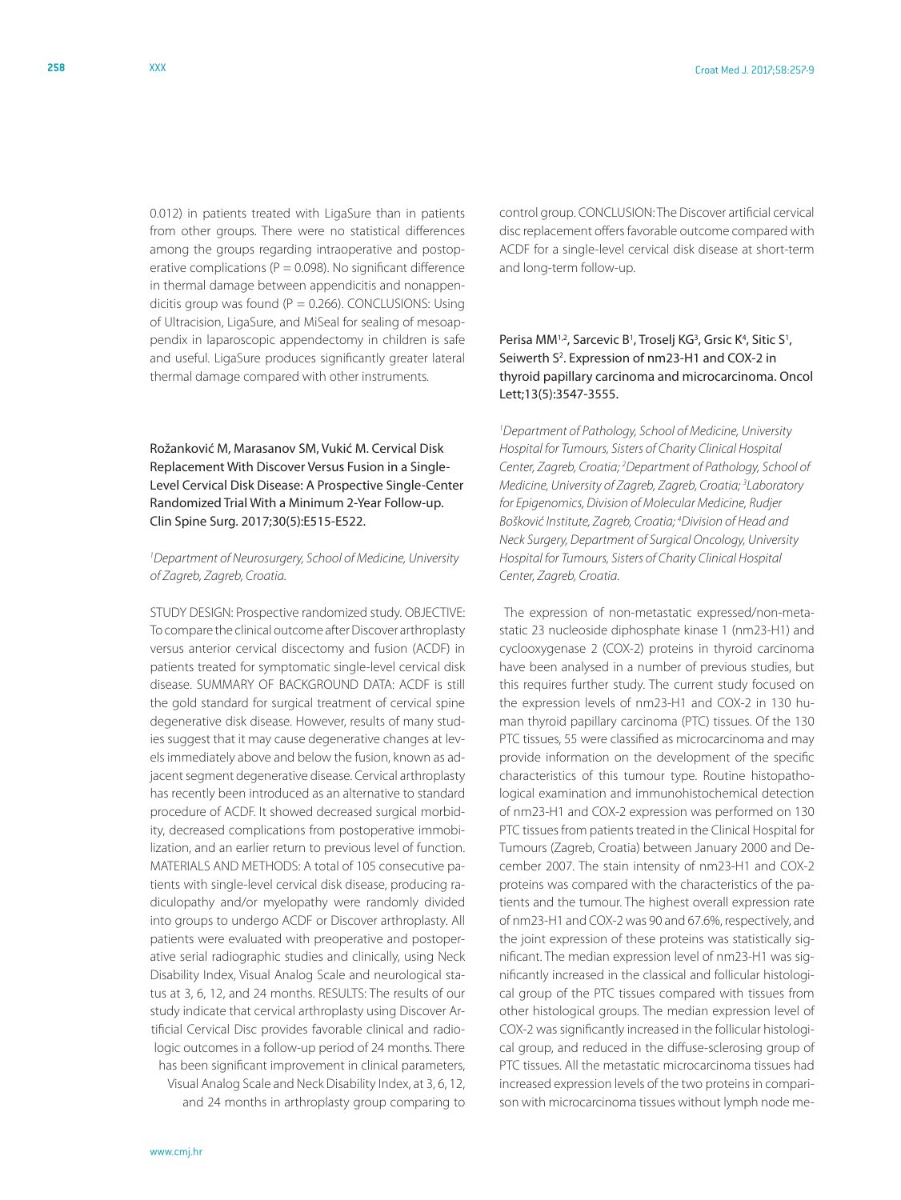0.012) in patients treated with LigaSure than in patients from other groups. There were no statistical differences among the groups regarding intraoperative and postoperative complications ( $P = 0.098$ ). No significant difference in thermal damage between appendicitis and nonappendicitis group was found ( $P = 0.266$ ). CONCLUSIONS: Using of Ultracision, LigaSure, and MiSeal for sealing of mesoappendix in laparoscopic appendectomy in children is safe and useful. LigaSure produces significantly greater lateral thermal damage compared with other instruments.

Rožanković M, Marasanov SM, Vukić M. Cervical Disk Replacement With Discover Versus Fusion in a Single-Level Cervical Disk Disease: A Prospective Single-Center Randomized Trial With a Minimum 2-Year Follow-up. Clin Spine Surg. 2017;30(5):E515-E522.

## *1 Department of Neurosurgery, School of Medicine, University of Zagreb, Zagreb, Croatia.*

STUDY DESIGN: Prospective randomized study. OBJECTIVE: To compare the clinical outcome after Discover arthroplasty versus anterior cervical discectomy and fusion (ACDF) in patients treated for symptomatic single-level cervical disk disease. SUMMARY OF BACKGROUND DATA: ACDF is still the gold standard for surgical treatment of cervical spine degenerative disk disease. However, results of many studies suggest that it may cause degenerative changes at levels immediately above and below the fusion, known as adjacent segment degenerative disease. Cervical arthroplasty has recently been introduced as an alternative to standard procedure of ACDF. It showed decreased surgical morbidity, decreased complications from postoperative immobilization, and an earlier return to previous level of function. MATERIALS AND METHODS: A total of 105 consecutive patients with single-level cervical disk disease, producing radiculopathy and/or myelopathy were randomly divided into groups to undergo ACDF or Discover arthroplasty. All patients were evaluated with preoperative and postoperative serial radiographic studies and clinically, using Neck Disability Index, Visual Analog Scale and neurological status at 3, 6, 12, and 24 months. RESULTS: The results of our study indicate that cervical arthroplasty using Discover Artificial Cervical Disc provides favorable clinical and radiologic outcomes in a follow-up period of 24 months. There has been significant improvement in clinical parameters, Visual Analog Scale and Neck Disability Index, at 3, 6, 12, and 24 months in arthroplasty group comparing to

control group. CONCLUSION: The Discover artificial cervical disc replacement offers favorable outcome compared with ACDF for a single-level cervical disk disease at short-term and long-term follow-up.

## Perisa MM<sup>1,2</sup>, Sarcevic B<sup>1</sup>, Troselj KG<sup>3</sup>, Grsic K<sup>4</sup>, Sitic S<sup>1</sup>, Seiwerth S<sup>2</sup>. Expression of nm23-H1 and COX-2 in thyroid papillary carcinoma and microcarcinoma. Oncol Lett;13(5):3547-3555.

*1 Department of Pathology, School of Medicine, University Hospital for Tumours, Sisters of Charity Clinical Hospital Center, Zagreb, Croatia; 2 Department of Pathology, School of Medicine, University of Zagreb, Zagreb, Croatia; 3 Laboratory for Epigenomics, Division of Molecular Medicine, Rudjer Bošković Institute, Zagreb, Croatia; 4 Division of Head and Neck Surgery, Department of Surgical Oncology, University Hospital for Tumours, Sisters of Charity Clinical Hospital Center, Zagreb, Croatia.*

 The expression of non-metastatic expressed/non-metastatic 23 nucleoside diphosphate kinase 1 (nm23-H1) and cyclooxygenase 2 (COX-2) proteins in thyroid carcinoma have been analysed in a number of previous studies, but this requires further study. The current study focused on the expression levels of nm23-H1 and COX-2 in 130 human thyroid papillary carcinoma (PTC) tissues. Of the 130 PTC tissues, 55 were classified as microcarcinoma and may provide information on the development of the specific characteristics of this tumour type. Routine histopathological examination and immunohistochemical detection of nm23-H1 and COX-2 expression was performed on 130 PTC tissues from patients treated in the Clinical Hospital for Tumours (Zagreb, Croatia) between January 2000 and December 2007. The stain intensity of nm23-H1 and COX-2 proteins was compared with the characteristics of the patients and the tumour. The highest overall expression rate of nm23-H1 and COX-2 was 90 and 67.6%, respectively, and the joint expression of these proteins was statistically significant. The median expression level of nm23-H1 was significantly increased in the classical and follicular histological group of the PTC tissues compared with tissues from other histological groups. The median expression level of COX-2 was significantly increased in the follicular histological group, and reduced in the diffuse-sclerosing group of PTC tissues. All the metastatic microcarcinoma tissues had increased expression levels of the two proteins in comparison with microcarcinoma tissues without lymph node me